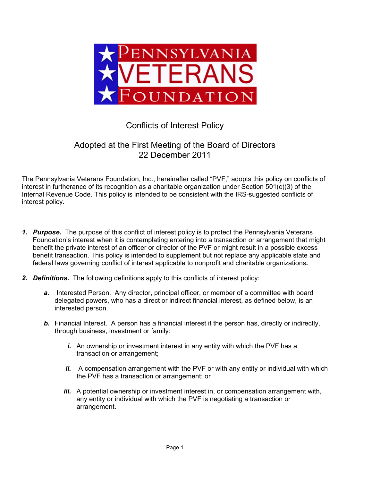

## Conflicts of Interest Policy

## Adopted at the First Meeting of the Board of Directors 22 December 2011

The Pennsylvania Veterans Foundation, Inc., hereinafter called "PVF," adopts this policy on conflicts of interest in furtherance of its recognition as a charitable organization under Section 501(c)(3) of the Internal Revenue Code. This policy is intended to be consistent with the IRS-suggested conflicts of interest policy.

- *1. Purpose.* The purpose of this conflict of interest policy is to protect the Pennsylvania Veterans Foundation's interest when it is contemplating entering into a transaction or arrangement that might benefit the private interest of an officer or director of the PVF or might result in a possible excess benefit transaction. This policy is intended to supplement but not replace any applicable state and federal laws governing conflict of interest applicable to nonprofit and charitable organizations*.*
- *2. Definitions.* The following definitions apply to this conflicts of interest policy:
	- *a.* Interested Person. Any director, principal officer, or member of a committee with board delegated powers, who has a direct or indirect financial interest, as defined below, is an interested person.
	- **b.** Financial Interest. A person has a financial interest if the person has, directly or indirectly, through business, investment or family:
		- *i.* An ownership or investment interest in any entity with which the PVF has a transaction or arrangement;
		- *ii.* A compensation arrangement with the PVF or with any entity or individual with which the PVF has a transaction or arrangement; or
		- *iii.* A potential ownership or investment interest in, or compensation arrangement with, any entity or individual with which the PVF is negotiating a transaction or arrangement.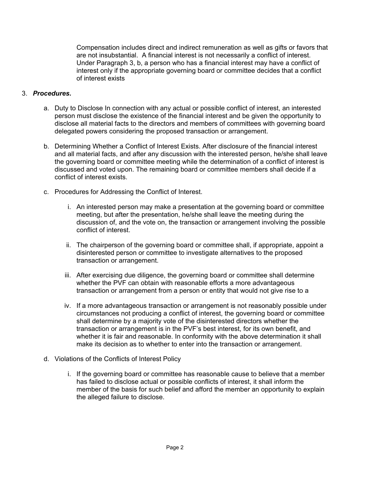Compensation includes direct and indirect remuneration as well as gifts or favors that are not insubstantial. A financial interest is not necessarily a conflict of interest. Under Paragraph 3, b, a person who has a financial interest may have a conflict of interest only if the appropriate governing board or committee decides that a conflict of interest exists

## 3. *Procedures.*

- a. Duty to Disclose In connection with any actual or possible conflict of interest, an interested person must disclose the existence of the financial interest and be given the opportunity to disclose all material facts to the directors and members of committees with governing board delegated powers considering the proposed transaction or arrangement.
- b. Determining Whether a Conflict of Interest Exists. After disclosure of the financial interest and all material facts, and after any discussion with the interested person, he/she shall leave the governing board or committee meeting while the determination of a conflict of interest is discussed and voted upon. The remaining board or committee members shall decide if a conflict of interest exists.
- c. Procedures for Addressing the Conflict of Interest.
	- i. An interested person may make a presentation at the governing board or committee meeting, but after the presentation, he/she shall leave the meeting during the discussion of, and the vote on, the transaction or arrangement involving the possible conflict of interest.
	- ii. The chairperson of the governing board or committee shall, if appropriate, appoint a disinterested person or committee to investigate alternatives to the proposed transaction or arrangement.
	- iii. After exercising due diligence, the governing board or committee shall determine whether the PVF can obtain with reasonable efforts a more advantageous transaction or arrangement from a person or entity that would not give rise to a
	- iv. If a more advantageous transaction or arrangement is not reasonably possible under circumstances not producing a conflict of interest, the governing board or committee shall determine by a majority vote of the disinterested directors whether the transaction or arrangement is in the PVF's best interest, for its own benefit, and whether it is fair and reasonable. In conformity with the above determination it shall make its decision as to whether to enter into the transaction or arrangement.
- d. Violations of the Conflicts of Interest Policy
	- i. If the governing board or committee has reasonable cause to believe that a member has failed to disclose actual or possible conflicts of interest, it shall inform the member of the basis for such belief and afford the member an opportunity to explain the alleged failure to disclose.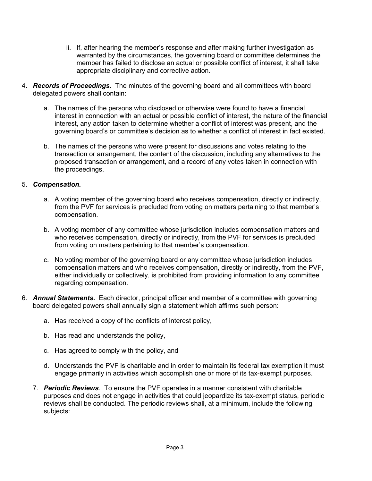- ii. If, after hearing the member's response and after making further investigation as warranted by the circumstances, the governing board or committee determines the member has failed to disclose an actual or possible conflict of interest, it shall take appropriate disciplinary and corrective action.
- 4. *Records of Proceedings.* The minutes of the governing board and all committees with board delegated powers shall contain:
	- a. The names of the persons who disclosed or otherwise were found to have a financial interest in connection with an actual or possible conflict of interest, the nature of the financial interest, any action taken to determine whether a conflict of interest was present, and the governing board's or committee's decision as to whether a conflict of interest in fact existed.
	- b. The names of the persons who were present for discussions and votes relating to the transaction or arrangement, the content of the discussion, including any alternatives to the proposed transaction or arrangement, and a record of any votes taken in connection with the proceedings.

## 5. *Compensation.*

- a. A voting member of the governing board who receives compensation, directly or indirectly, from the PVF for services is precluded from voting on matters pertaining to that member's compensation.
- b. A voting member of any committee whose jurisdiction includes compensation matters and who receives compensation, directly or indirectly, from the PVF for services is precluded from voting on matters pertaining to that member's compensation.
- c. No voting member of the governing board or any committee whose jurisdiction includes compensation matters and who receives compensation, directly or indirectly, from the PVF, either individually or collectively, is prohibited from providing information to any committee regarding compensation.
- 6. *Annual Statements.* Each director, principal officer and member of a committee with governing board delegated powers shall annually sign a statement which affirms such person:
	- a. Has received a copy of the conflicts of interest policy,
	- b. Has read and understands the policy,
	- c. Has agreed to comply with the policy, and
	- d. Understands the PVF is charitable and in order to maintain its federal tax exemption it must engage primarily in activities which accomplish one or more of its tax-exempt purposes.
	- 7. *Periodic Reviews*. To ensure the PVF operates in a manner consistent with charitable purposes and does not engage in activities that could jeopardize its tax-exempt status, periodic reviews shall be conducted. The periodic reviews shall, at a minimum, include the following subjects: